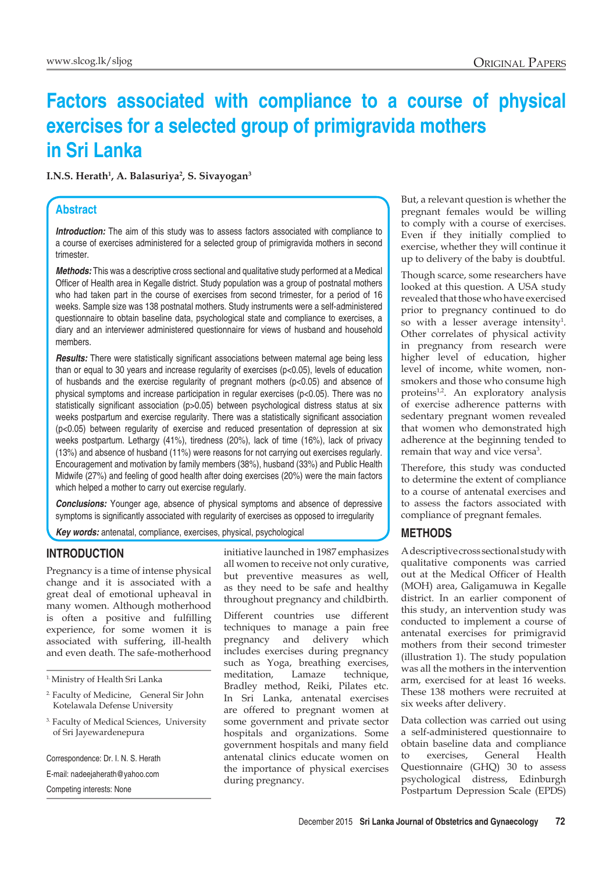# **Factors associated with compliance to a course of physical exercises for a selected group of primigravida mothers in Sri Lanka**

**I.N.S. Herath1 , A. Balasuriya2 , S. Sivayogan3**

### **Abstract**

**Introduction:** The aim of this study was to assess factors associated with compliance to a course of exercises administered for a selected group of primigravida mothers in second trimester.

*Methods:* This was a descriptive cross sectional and qualitative study performed at a Medical Officer of Health area in Kegalle district. Study population was a group of postnatal mothers who had taken part in the course of exercises from second trimester, for a period of 16 weeks. Sample size was 138 postnatal mothers. Study instruments were a self-administered questionnaire to obtain baseline data, psychological state and compliance to exercises, a diary and an interviewer administered questionnaire for views of husband and household members.

*Results:* There were statistically significant associations between maternal age being less than or equal to 30 years and increase regularity of exercises (p<0.05), levels of education of husbands and the exercise regularity of pregnant mothers (p<0.05) and absence of physical symptoms and increase participation in regular exercises (p<0.05). There was no statistically significant association (p>0.05) between psychological distress status at six weeks postpartum and exercise regularity. There was a statistically significant association (p<0.05) between regularity of exercise and reduced presentation of depression at six weeks postpartum. Lethargy (41%), tiredness (20%), lack of time (16%), lack of privacy (13%) and absence of husband (11%) were reasons for not carrying out exercises regularly. Encouragement and motivation by family members (38%), husband (33%) and Public Health Midwife (27%) and feeling of good health after doing exercises (20%) were the main factors which helped a mother to carry out exercise regularly.

*Conclusions:* Younger age, absence of physical symptoms and absence of depressive symptoms is significantly associated with regularity of exercises as opposed to irregularity

*Key words:* antenatal, compliance, exercises, physical, psychological

#### **INTRODUCTION**

Pregnancy is a time of intense physical change and it is associated with a great deal of emotional upheaval in many women. Although motherhood is often a positive and fulfilling experience, for some women it is associated with suffering, ill-health and even death. The safe-motherhood

1. Ministry of Health Sri Lanka

- 2. Faculty of Medicine, General Sir John Kotelawala Defense University
- <sup>3.</sup> Faculty of Medical Sciences, University of Sri Jayewardenepura

Correspondence: Dr. I. N. S. Herath E-mail: nadeejaherath@yahoo.com Competing interests: None

initiative launched in 1987 emphasizes all women to receive not only curative, but preventive measures as well, as they need to be safe and healthy throughout pregnancy and childbirth.

Different countries use different techniques to manage a pain free pregnancy and delivery which includes exercises during pregnancy such as Yoga, breathing exercises, meditation, Lamaze technique, Bradley method, Reiki, Pilates etc. In Sri Lanka, antenatal exercises are offered to pregnant women at some government and private sector hospitals and organizations. Some government hospitals and many field antenatal clinics educate women on the importance of physical exercises during pregnancy.

But, a relevant question is whether the pregnant females would be willing to comply with a course of exercises. Even if they initially complied to exercise, whether they will continue it up to delivery of the baby is doubtful.

Though scarce, some researchers have looked at this question. A USA study revealed that those who have exercised prior to pregnancy continued to do so with a lesser average intensity<sup>1</sup>. Other correlates of physical activity in pregnancy from research were higher level of education, higher level of income, white women, nonsmokers and those who consume high proteins<sup>1,2</sup>. An exploratory analysis of exercise adherence patterns with sedentary pregnant women revealed that women who demonstrated high adherence at the beginning tended to remain that way and vice versa<sup>3</sup>.

Therefore, this study was conducted to determine the extent of compliance to a course of antenatal exercises and to assess the factors associated with compliance of pregnant females.

#### **METHODS**

A descriptive cross sectional study with qualitative components was carried out at the Medical Officer of Health (MOH) area, Galigamuwa in Kegalle district. In an earlier component of this study, an intervention study was conducted to implement a course of antenatal exercises for primigravid mothers from their second trimester (illustration 1). The study population was all the mothers in the intervention arm, exercised for at least 16 weeks. These 138 mothers were recruited at six weeks after delivery.

Data collection was carried out using a self-administered questionnaire to obtain baseline data and compliance to exercises, General Health Questionnaire (GHQ) 30 to assess psychological distress, Edinburgh Postpartum Depression Scale (EPDS)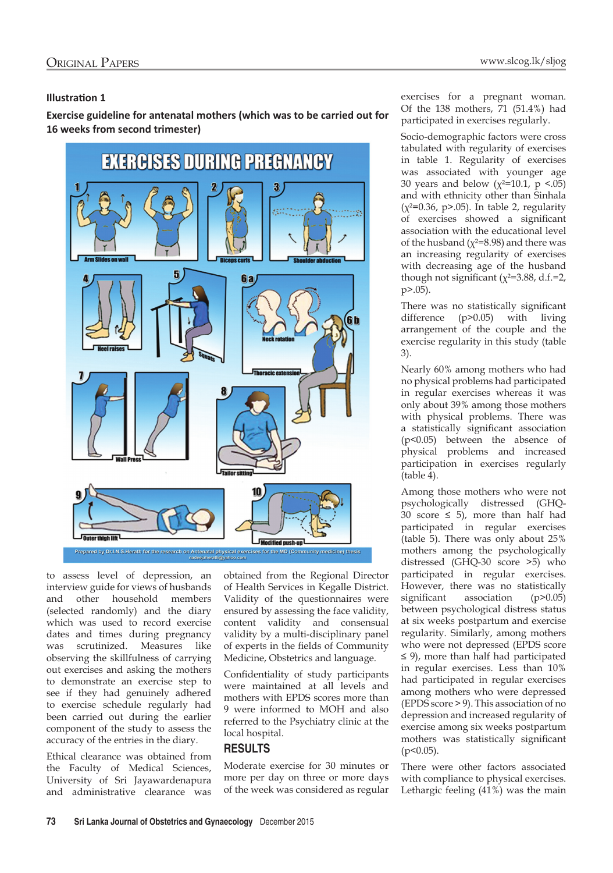#### **Illustration 1**

**Exercise guideline for antenatal mothers (which was to be carried out for 16 weeks from second trimester)**



Prepared by Dr.I.N.S. Herath for the research on Ant cal exercises for the MD (Community medicine) thesi-

to assess level of depression, an interview guide for views of husbands and other household members (selected randomly) and the diary which was used to record exercise dates and times during pregnancy was scrutinized. Measures like observing the skillfulness of carrying out exercises and asking the mothers to demonstrate an exercise step to see if they had genuinely adhered to exercise schedule regularly had been carried out during the earlier component of the study to assess the accuracy of the entries in the diary.

Ethical clearance was obtained from the Faculty of Medical Sciences, University of Sri Jayawardenapura and administrative clearance was

obtained from the Regional Director of Health Services in Kegalle District. Validity of the questionnaires were ensured by assessing the face validity, content validity and consensual validity by a multi-disciplinary panel of experts in the fields of Community Medicine, Obstetrics and language.

Confidentiality of study participants were maintained at all levels and mothers with EPDS scores more than 9 were informed to MOH and also referred to the Psychiatry clinic at the local hospital.

## **RESULTS**

Moderate exercise for 30 minutes or more per day on three or more days of the week was considered as regular exercises for a pregnant woman. Of the 138 mothers, 71 (51.4%) had participated in exercises regularly.

Socio-demographic factors were cross tabulated with regularity of exercises in table 1. Regularity of exercises was associated with younger age 30 years and below ( $\chi^2$ =10.1, p <.05) and with ethnicity other than Sinhala  $(x^{2}=0.36, p>0.05)$ . In table 2, regularity of exercises showed a significant association with the educational level of the husband ( $\chi$ <sup>2=8.98</sup>) and there was an increasing regularity of exercises with decreasing age of the husband though not significant ( $\chi^2$ =3.88, d.f.=2, p>.05).

There was no statistically significant difference (p>0.05) with living arrangement of the couple and the exercise regularity in this study (table 3).

Nearly 60% among mothers who had no physical problems had participated in regular exercises whereas it was only about 39% among those mothers with physical problems. There was a statistically significant association (p<0.05) between the absence of physical problems and increased participation in exercises regularly (table 4).

Among those mothers who were not psychologically distressed (GHQ-30 score  $\leq$  5), more than half had participated in regular exercises (table 5). There was only about 25% mothers among the psychologically distressed (GHQ-30 score >5) who participated in regular exercises. However, there was no statistically significant association (p>0.05) between psychological distress status at six weeks postpartum and exercise regularity. Similarly, among mothers who were not depressed (EPDS score ≤ 9), more than half had participated in regular exercises. Less than 10% had participated in regular exercises among mothers who were depressed (EPDS score > 9). This association of no depression and increased regularity of exercise among six weeks postpartum mothers was statistically significant  $(p<0.05)$ .

There were other factors associated with compliance to physical exercises. Lethargic feeling (41%) was the main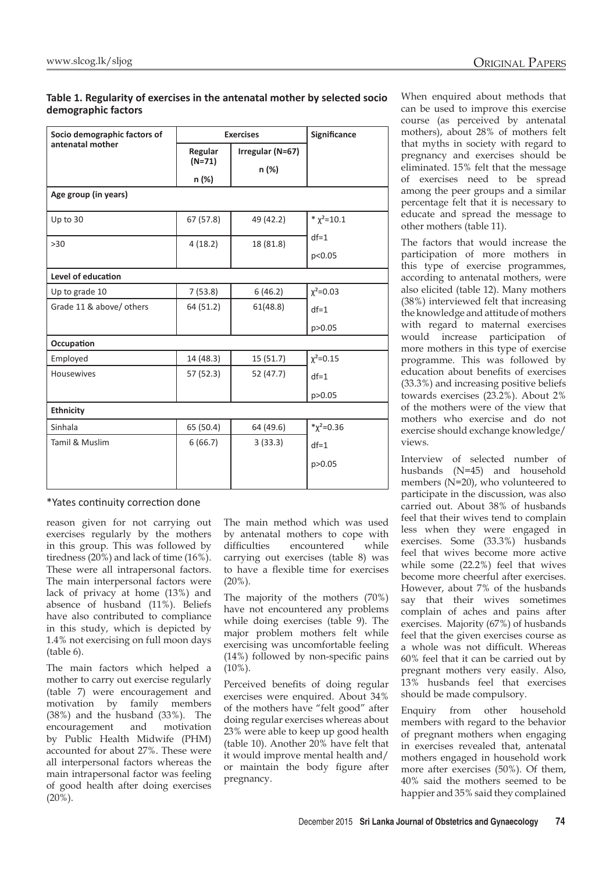#### **Table 1. Regularity of exercises in the antenatal mother by selected socio demographic factors**

| Socio demographic factors of | <b>Exercises</b>    |                  | Significance     |
|------------------------------|---------------------|------------------|------------------|
| antenatal mother             | Regular<br>$(N=71)$ | Irregular (N=67) |                  |
|                              |                     | n (%)            |                  |
| Age group (in years)         | n (%)               |                  |                  |
| Up to 30                     | 67 (57.8)           | 49 (42.2)        | * $\chi^2$ =10.1 |
| $>30$                        | 4(18.2)             | 18 (81.8)        | $df=1$           |
|                              |                     |                  | p<0.05           |
| Level of education           |                     |                  |                  |
| Up to grade 10               | 7(53.8)             | 6(46.2)          | $\chi^2 = 0.03$  |
| Grade 11 & above/ others     | 64 (51.2)           | 61(48.8)         | $df=1$           |
|                              |                     |                  | p > 0.05         |
| Occupation                   |                     |                  |                  |
| Employed                     | 14 (48.3)           | 15 (51.7)        | $\chi^2 = 0.15$  |
| <b>Housewives</b>            | 57 (52.3)           | 52 (47.7)        | $df=1$           |
|                              |                     |                  | p > 0.05         |
| <b>Ethnicity</b>             |                     |                  |                  |
| Sinhala                      | 65 (50.4)           | 64 (49.6)        | $*\chi^2 = 0.36$ |
| Tamil & Muslim               | 6(66.7)             | 3(33.3)          | $df=1$           |
|                              |                     |                  | p>0.05           |
|                              |                     |                  |                  |

\*Yates continuity correction done

reason given for not carrying out exercises regularly by the mothers in this group. This was followed by tiredness (20%) and lack of time (16%). These were all intrapersonal factors. The main interpersonal factors were lack of privacy at home (13%) and absence of husband (11%). Beliefs have also contributed to compliance in this study, which is depicted by 1.4% not exercising on full moon days (table 6).

The main factors which helped a mother to carry out exercise regularly (table 7) were encouragement and motivation by family members (38%) and the husband (33%). The encouragement and motivation by Public Health Midwife (PHM) accounted for about 27%. These were all interpersonal factors whereas the main intrapersonal factor was feeling of good health after doing exercises  $(20\%)$ .

The main method which was used by antenatal mothers to cope with difficulties encountered while carrying out exercises (table 8) was to have a flexible time for exercises  $(20\%)$ .

The majority of the mothers (70%) have not encountered any problems while doing exercises (table 9). The major problem mothers felt while exercising was uncomfortable feeling (14%) followed by non-specific pains  $(10\%)$ .

Perceived benefits of doing regular exercises were enquired. About 34% of the mothers have "felt good" after doing regular exercises whereas about 23% were able to keep up good health (table 10). Another 20% have felt that it would improve mental health and/ or maintain the body figure after pregnancy.

When enquired about methods that can be used to improve this exercise course (as perceived by antenatal mothers), about 28% of mothers felt that myths in society with regard to pregnancy and exercises should be eliminated. 15% felt that the message of exercises need to be spread among the peer groups and a similar percentage felt that it is necessary to educate and spread the message to other mothers (table 11).

The factors that would increase the participation of more mothers in this type of exercise programmes, according to antenatal mothers, were also elicited (table 12). Many mothers (38%) interviewed felt that increasing the knowledge and attitude of mothers with regard to maternal exercises would increase participation of more mothers in this type of exercise programme. This was followed by education about benefits of exercises (33.3%) and increasing positive beliefs towards exercises (23.2%). About 2% of the mothers were of the view that mothers who exercise and do not exercise should exchange knowledge/ views.

Interview of selected number of husbands (N=45) and household members (N=20), who volunteered to participate in the discussion, was also carried out. About 38% of husbands feel that their wives tend to complain less when they were engaged in exercises. Some (33.3%) husbands feel that wives become more active while some (22.2%) feel that wives become more cheerful after exercises. However, about 7% of the husbands say that their wives sometimes complain of aches and pains after exercises. Majority (67%) of husbands feel that the given exercises course as a whole was not difficult. Whereas 60% feel that it can be carried out by pregnant mothers very easily. Also, 13% husbands feel that exercises should be made compulsory.

Enquiry from other household members with regard to the behavior of pregnant mothers when engaging in exercises revealed that, antenatal mothers engaged in household work more after exercises (50%). Of them, 40% said the mothers seemed to be happier and 35% said they complained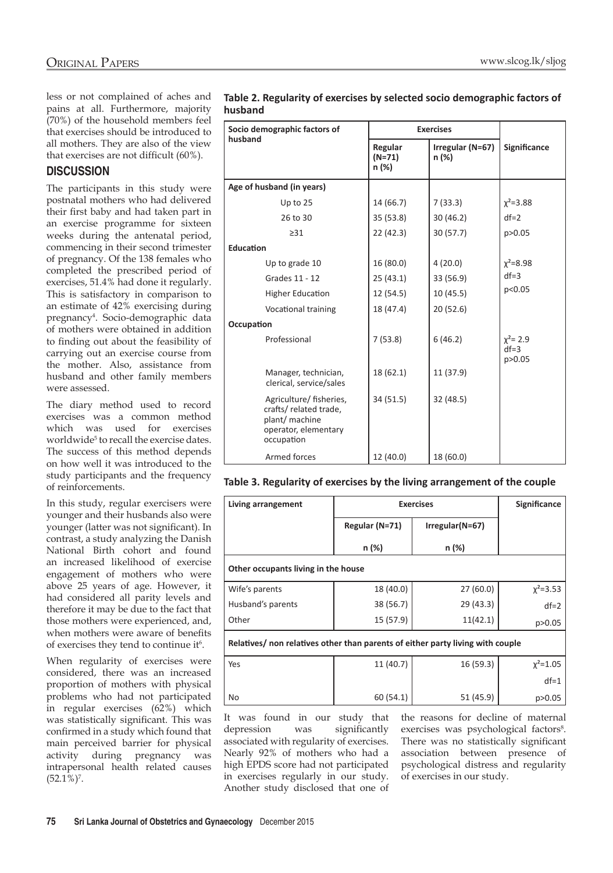less or not complained of aches and pains at all. Furthermore, majority (70%) of the household members feel that exercises should be introduced to all mothers. They are also of the view that exercises are not difficult (60%).

## **DISCUSSION**

The participants in this study were postnatal mothers who had delivered their first baby and had taken part in an exercise programme for sixteen weeks during the antenatal period, commencing in their second trimester of pregnancy. Of the 138 females who completed the prescribed period of exercises, 51.4% had done it regularly. This is satisfactory in comparison to an estimate of 42% exercising during pregnancy4 . Socio-demographic data of mothers were obtained in addition to finding out about the feasibility of carrying out an exercise course from the mother. Also, assistance from husband and other family members were assessed.

The diary method used to record exercises was a common method which was used for exercises worldwide<sup>5</sup> to recall the exercise dates. The success of this method depends on how well it was introduced to the study participants and the frequency of reinforcements.

In this study, regular exercisers were younger and their husbands also were younger (latter was not significant). In contrast, a study analyzing the Danish National Birth cohort and found an increased likelihood of exercise engagement of mothers who were above 25 years of age. However, it had considered all parity levels and therefore it may be due to the fact that those mothers were experienced, and, when mothers were aware of benefits of exercises they tend to continue it<sup>6</sup>.

When regularity of exercises were considered, there was an increased proportion of mothers with physical problems who had not participated in regular exercises (62%) which was statistically significant. This was confirmed in a study which found that main perceived barrier for physical activity during pregnancy was intrapersonal health related causes  $(52.1\%)$ <sup>7</sup>.

| Table 2. Regularity of exercises by selected socio demographic factors of |
|---------------------------------------------------------------------------|
| husband                                                                   |

| Socio demographic factors of                                                                            | <b>Exercises</b>             |                               |                                 |  |
|---------------------------------------------------------------------------------------------------------|------------------------------|-------------------------------|---------------------------------|--|
| husband                                                                                                 | Regular<br>$(N=71)$<br>n (%) | Irregular ( $N=67$ )<br>n (%) | Significance                    |  |
| Age of husband (in years)                                                                               |                              |                               |                                 |  |
| Up to $25$                                                                                              | 14 (66.7)                    | 7(33.3)                       | $x^2 = 3.88$                    |  |
| 26 to 30                                                                                                | 35 (53.8)                    | 30 (46.2)                     | $df=2$                          |  |
| $\geq$ 31                                                                                               | 22 (42.3)                    | 30(57.7)                      | p>0.05                          |  |
| <b>Education</b>                                                                                        |                              |                               |                                 |  |
| Up to grade 10                                                                                          | 16(80.0)                     | 4(20.0)                       | $x^2 = 8.98$                    |  |
| Grades 11 - 12                                                                                          | 25(43.1)                     | 33 (56.9)                     | $df = 3$                        |  |
| <b>Higher Education</b>                                                                                 | 12 (54.5)                    | 10(45.5)                      | p<0.05                          |  |
| <b>Vocational training</b>                                                                              | 18 (47.4)                    | 20 (52.6)                     |                                 |  |
| Occupation                                                                                              |                              |                               |                                 |  |
| Professional                                                                                            | 7(53.8)                      | 6(46.2)                       | $x^2 = 2.9$<br>$df=3$<br>p>0.05 |  |
| Manager, technician,<br>clerical, service/sales                                                         | 18(62.1)                     | 11 (37.9)                     |                                 |  |
| Agriculture/fisheries,<br>crafts/related trade,<br>plant/ machine<br>operator, elementary<br>occupation | 34 (51.5)                    | 32(48.5)                      |                                 |  |
| Armed forces                                                                                            | 12 (40.0)                    | 18 (60.0)                     |                                 |  |

#### **Table 3. Regularity of exercises by the living arrangement of the couple**

| Living arrangement                                                             | <b>Exercises</b>                    |           | <b>Significance</b> |
|--------------------------------------------------------------------------------|-------------------------------------|-----------|---------------------|
|                                                                                | $Irregular(N=67)$<br>Regular (N=71) |           |                     |
|                                                                                | n (%)                               | n (%)     |                     |
| Other occupants living in the house                                            |                                     |           |                     |
| Wife's parents                                                                 | 18 (40.0)                           | 27(60.0)  | $\chi^2 = 3.53$     |
| Husband's parents                                                              | 38 (56.7)                           | 29 (43.3) | $df=2$              |
| Other                                                                          | 15 (57.9)                           | 11(42.1)  | p>0.05              |
| Relatives/ non relatives other than parents of either party living with couple |                                     |           |                     |

| l Yes | 11 (40.7) | 16(59.3)  | $\chi^2$ =1.05 |
|-------|-----------|-----------|----------------|
|       |           |           | $df=1$         |
| No    | 60(54.1)  | 51 (45.9) | p > 0.05       |

It was found in our study that depression was significantly associated with regularity of exercises. Nearly 92% of mothers who had a high EPDS score had not participated in exercises regularly in our study. Another study disclosed that one of the reasons for decline of maternal exercises was psychological factors<sup>8</sup>. There was no statistically significant association between presence of psychological distress and regularity of exercises in our study.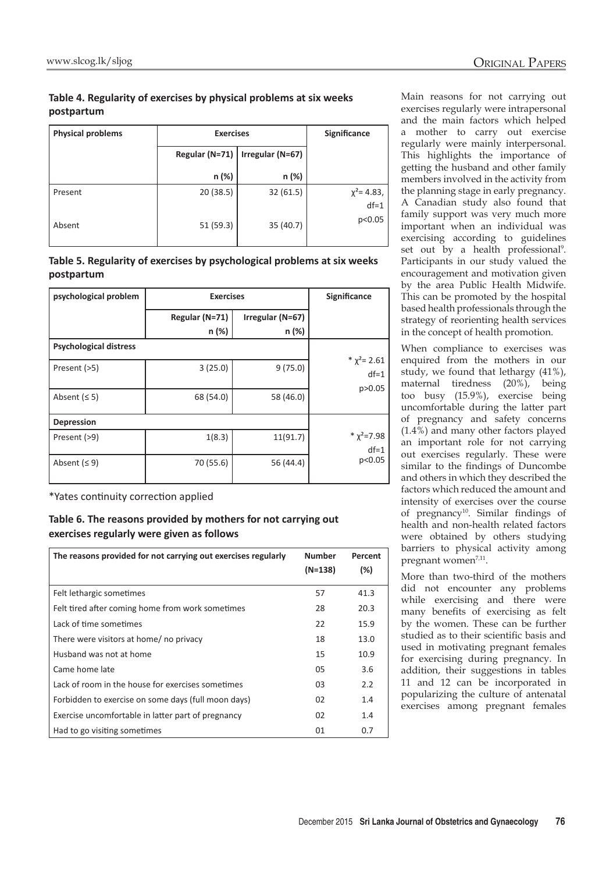## **Table 4. Regularity of exercises by physical problems at six weeks postpartum**

| <b>Physical problems</b> | <b>Exercises</b> |                  | Significance     |
|--------------------------|------------------|------------------|------------------|
|                          | Regular (N=71)   | Irregular (N=67) |                  |
|                          | n (%)            | n (%)            |                  |
| Present                  | 20 (38.5)        | 32(61.5)         | $\chi^2$ = 4.83, |
| Absent                   | 51 (59.3)        | 35(40.7)         | $df=1$<br>p<0.05 |

#### **Table 5. Regularity of exercises by psychological problems at six weeks postpartum**

| psychological problem         | <b>Exercises</b> |                  | Significance                |
|-------------------------------|------------------|------------------|-----------------------------|
|                               | Regular (N=71)   | Irregular (N=67) |                             |
|                               | n (%)            | n (%)            |                             |
| <b>Psychological distress</b> |                  |                  |                             |
| Present (>5)                  | 3(25.0)          | 9(75.0)          | * $\chi^2$ = 2.61<br>$df=1$ |
| Absent $(55)$                 | 68 (54.0)        | 58 (46.0)        | p>0.05                      |
| <b>Depression</b>             |                  |                  |                             |
| Present (>9)                  | 1(8.3)           | 11(91.7)         | * $\chi^2$ =7.98<br>$df=1$  |
| Absent $(59)$                 | 70 (55.6)        | 56 (44.4)        | p<0.05                      |

\*Yates continuity correction applied

#### **Table 6. The reasons provided by mothers for not carrying out exercises regularly were given as follows**

| The reasons provided for not carrying out exercises regularly | <b>Number</b> | Percent |
|---------------------------------------------------------------|---------------|---------|
|                                                               | $(N=138)$     | $(\%)$  |
| Felt lethargic sometimes                                      | 57            | 41.3    |
| Felt tired after coming home from work sometimes              | 28            | 20.3    |
| Lack of time sometimes                                        | 22            | 15.9    |
| There were visitors at home/ no privacy                       | 18            | 13.0    |
| Husband was not at home                                       | 15            | 10.9    |
| Came home late                                                | 05            | 3.6     |
| Lack of room in the house for exercises sometimes             | 03            | 2.2     |
| Forbidden to exercise on some days (full moon days)           | 02            | 1.4     |
| Exercise uncomfortable in latter part of pregnancy            | 02            | 1.4     |
| Had to go visiting sometimes                                  | 01            | 0.7     |

Main reasons for not carrying out exercises regularly were intrapersonal and the main factors which helped a mother to carry out exercise regularly were mainly interpersonal. This highlights the importance of getting the husband and other family members involved in the activity from the planning stage in early pregnancy. A Canadian study also found that family support was very much more important when an individual was exercising according to guidelines set out by a health professional<sup>9</sup>. Participants in our study valued the encouragement and motivation given by the area Public Health Midwife. This can be promoted by the hospital based health professionals through the strategy of reorienting health services in the concept of health promotion.

When compliance to exercises was enquired from the mothers in our study, we found that lethargy (41%), maternal tiredness (20%), being too busy (15.9%), exercise being uncomfortable during the latter part of pregnancy and safety concerns (1.4%) and many other factors played an important role for not carrying out exercises regularly. These were similar to the findings of Duncombe and others in which they described the factors which reduced the amount and intensity of exercises over the course of pregnancy<sup>10</sup>. Similar findings of health and non-health related factors were obtained by others studying barriers to physical activity among pregnant women<sup>7,11</sup>.

More than two-third of the mothers did not encounter any problems while exercising and there were many benefits of exercising as felt by the women. These can be further studied as to their scientific basis and used in motivating pregnant females for exercising during pregnancy. In addition, their suggestions in tables 11 and 12 can be incorporated in popularizing the culture of antenatal exercises among pregnant females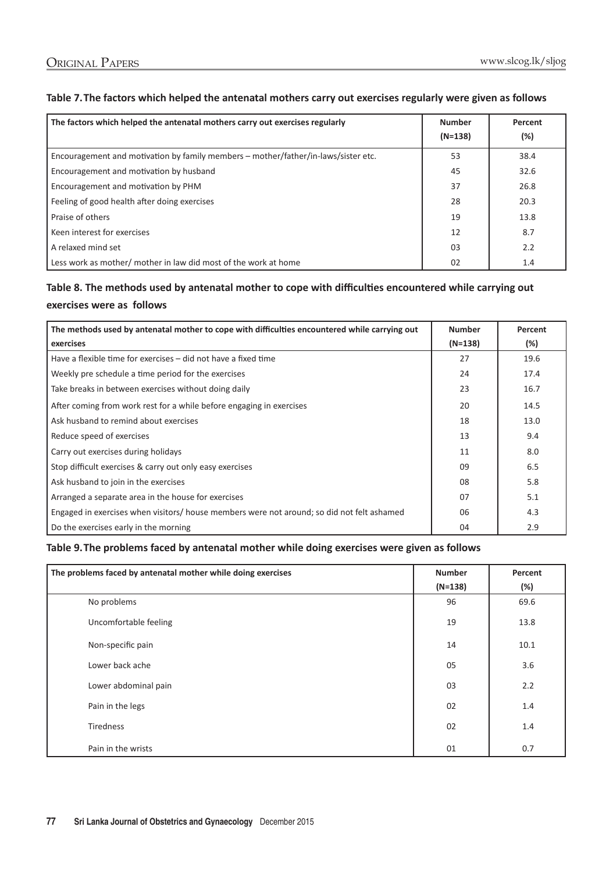#### **Table 7.The factors which helped the antenatal mothers carry out exercises regularly were given as follows**

| The factors which helped the antenatal mothers carry out exercises regularly       | <b>Number</b><br>$(N=138)$ | Percent<br>$(\%)$ |
|------------------------------------------------------------------------------------|----------------------------|-------------------|
| Encouragement and motivation by family members - mother/father/in-laws/sister etc. | 53                         | 38.4              |
| Encouragement and motivation by husband                                            | 45                         | 32.6              |
| Encouragement and motivation by PHM                                                | 37                         | 26.8              |
| Feeling of good health after doing exercises                                       | 28                         | 20.3              |
| Praise of others                                                                   | 19                         | 13.8              |
| Keen interest for exercises                                                        | 12                         | 8.7               |
| A relaxed mind set                                                                 | 03                         | 2.2               |
| Less work as mother/ mother in law did most of the work at home                    | 02                         | 1.4               |

## **Table 8. The methods used by antenatal mother to cope with difficulties encountered while carrying out exercises were as follows**

| The methods used by antenatal mother to cope with difficulties encountered while carrying out | <b>Number</b> | Percent |
|-----------------------------------------------------------------------------------------------|---------------|---------|
| exercises                                                                                     | $(N=138)$     | $(\%)$  |
| Have a flexible time for exercises – did not have a fixed time                                | 27            | 19.6    |
| Weekly pre schedule a time period for the exercises                                           | 24            | 17.4    |
| Take breaks in between exercises without doing daily                                          | 23            | 16.7    |
| After coming from work rest for a while before engaging in exercises                          | 20            | 14.5    |
| Ask husband to remind about exercises                                                         | 18            | 13.0    |
| Reduce speed of exercises                                                                     | 13            | 9.4     |
| Carry out exercises during holidays                                                           | 11            | 8.0     |
| Stop difficult exercises & carry out only easy exercises                                      | 09            | 6.5     |
| Ask husband to join in the exercises                                                          | 08            | 5.8     |
| Arranged a separate area in the house for exercises                                           | 07            | 5.1     |
| Engaged in exercises when visitors/ house members were not around; so did not felt ashamed    | 06            | 4.3     |
| Do the exercises early in the morning                                                         | 04            | 2.9     |

#### **Table 9.The problems faced by antenatal mother while doing exercises were given as follows**

| The problems faced by antenatal mother while doing exercises | <b>Number</b> | Percent |
|--------------------------------------------------------------|---------------|---------|
|                                                              | $(N=138)$     | (%)     |
| No problems                                                  | 96            | 69.6    |
| Uncomfortable feeling                                        | 19            | 13.8    |
| Non-specific pain                                            | 14            | 10.1    |
| Lower back ache                                              | 05            | 3.6     |
| Lower abdominal pain                                         | 03            | 2.2     |
| Pain in the legs                                             | 02            | 1.4     |
| Tiredness                                                    | 02            | 1.4     |
| Pain in the wrists                                           | 01            | 0.7     |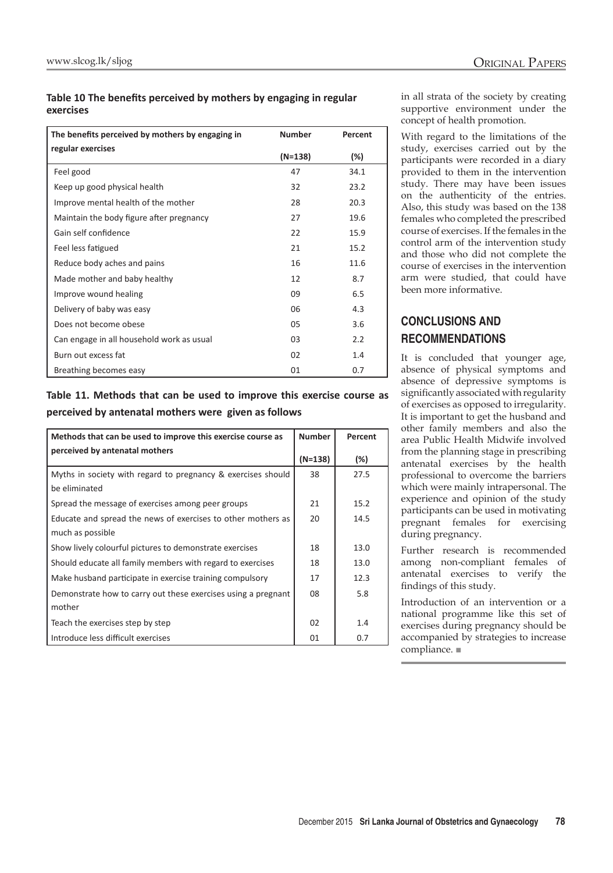#### **Table 10 The benefits perceived by mothers by engaging in regular exercises**

| The benefits perceived by mothers by engaging in | <b>Number</b> | Percent |
|--------------------------------------------------|---------------|---------|
| regular exercises                                | $(N=138)$     | $(\%)$  |
| Feel good                                        | 47            | 34.1    |
| Keep up good physical health                     | 32            | 23.2    |
| Improve mental health of the mother              | 28            | 20.3    |
| Maintain the body figure after pregnancy         | 27            | 19.6    |
| Gain self confidence                             | 22            | 15.9    |
| Feel less fatigued                               | 21            | 15.2    |
| Reduce body aches and pains                      | 16            | 11.6    |
| Made mother and baby healthy                     | 12            | 8.7     |
| Improve wound healing                            | 09            | 6.5     |
| Delivery of baby was easy                        | 06            | 4.3     |
| Does not become obese                            | 05            | 3.6     |
| Can engage in all household work as usual        | 03            | 2.2     |
| Burn out excess fat                              | 02            | 1.4     |
| Breathing becomes easy                           | 01            | 0.7     |

## **Table 11. Methods that can be used to improve this exercise course as perceived by antenatal mothers were given as follows**

| Methods that can be used to improve this exercise course as   | <b>Number</b> | Percent |
|---------------------------------------------------------------|---------------|---------|
| perceived by antenatal mothers                                | $(N=138)$     | $(\%)$  |
| Myths in society with regard to pregnancy & exercises should  | 38            | 27.5    |
| be eliminated                                                 |               |         |
| Spread the message of exercises among peer groups             | 21            | 15.2    |
| Educate and spread the news of exercises to other mothers as  | 20            | 14.5    |
| much as possible                                              |               |         |
| Show lively colourful pictures to demonstrate exercises       | 18            | 13.0    |
| Should educate all family members with regard to exercises    | 18            | 13.0    |
| Make husband participate in exercise training compulsory      | 17            | 12.3    |
| Demonstrate how to carry out these exercises using a pregnant | 08            | 5.8     |
| mother                                                        |               |         |
| Teach the exercises step by step                              | 02            | 1.4     |
| Introduce less difficult exercises                            | 01            | 0.7     |

in all strata of the society by creating supportive environment under the concept of health promotion.

With regard to the limitations of the study, exercises carried out by the participants were recorded in a diary provided to them in the intervention study. There may have been issues on the authenticity of the entries. Also, this study was based on the 138 females who completed the prescribed course of exercises. If the females in the control arm of the intervention study and those who did not complete the course of exercises in the intervention arm were studied, that could have been more informative.

## **CONCLUSIONS AND RECOMMENDATIONS**

It is concluded that younger age, absence of physical symptoms and absence of depressive symptoms is significantly associated with regularity of exercises as opposed to irregularity. It is important to get the husband and other family members and also the area Public Health Midwife involved from the planning stage in prescribing antenatal exercises by the health professional to overcome the barriers which were mainly intrapersonal. The experience and opinion of the study participants can be used in motivating pregnant females for exercising during pregnancy.

Further research is recommended among non-compliant females of antenatal exercises to verify the findings of this study.

Introduction of an intervention or a national programme like this set of exercises during pregnancy should be accompanied by strategies to increase compliance. ■